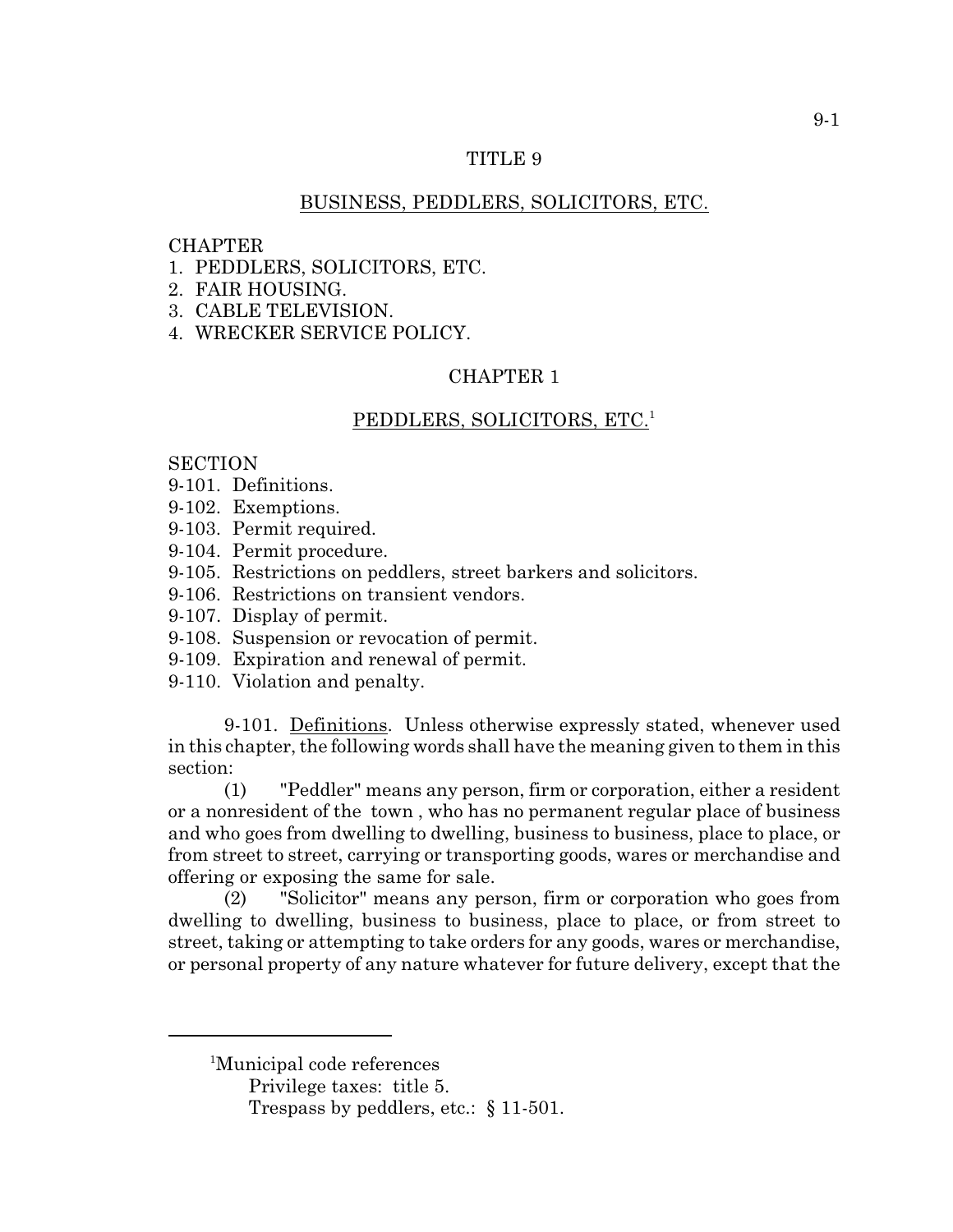## TITLE 9

# BUSINESS, PEDDLERS, SOLICITORS, ETC.

## **CHAPTER**

- 1. PEDDLERS, SOLICITORS, ETC.
- 2. FAIR HOUSING.
- 3. CABLE TELEVISION.
- 4. WRECKER SERVICE POLICY.

## CHAPTER 1

## PEDDLERS, SOLICITORS, ETC.<sup>1</sup>

## **SECTION**

- 9-101. Definitions.
- 9-102. Exemptions.
- 9-103. Permit required.
- 9-104. Permit procedure.
- 9-105. Restrictions on peddlers, street barkers and solicitors.
- 9-106. Restrictions on transient vendors.
- 9-107. Display of permit.
- 9-108. Suspension or revocation of permit.
- 9-109. Expiration and renewal of permit.
- 9-110. Violation and penalty.

9-101. Definitions. Unless otherwise expressly stated, whenever used in this chapter, the following words shall have the meaning given to them in this section:

(1) "Peddler" means any person, firm or corporation, either a resident or a nonresident of the town , who has no permanent regular place of business and who goes from dwelling to dwelling, business to business, place to place, or from street to street, carrying or transporting goods, wares or merchandise and offering or exposing the same for sale.

(2) "Solicitor" means any person, firm or corporation who goes from dwelling to dwelling, business to business, place to place, or from street to street, taking or attempting to take orders for any goods, wares or merchandise, or personal property of any nature whatever for future delivery, except that the

<sup>&</sup>lt;sup>1</sup>Municipal code references

Privilege taxes: title 5.

Trespass by peddlers, etc.: § 11-501.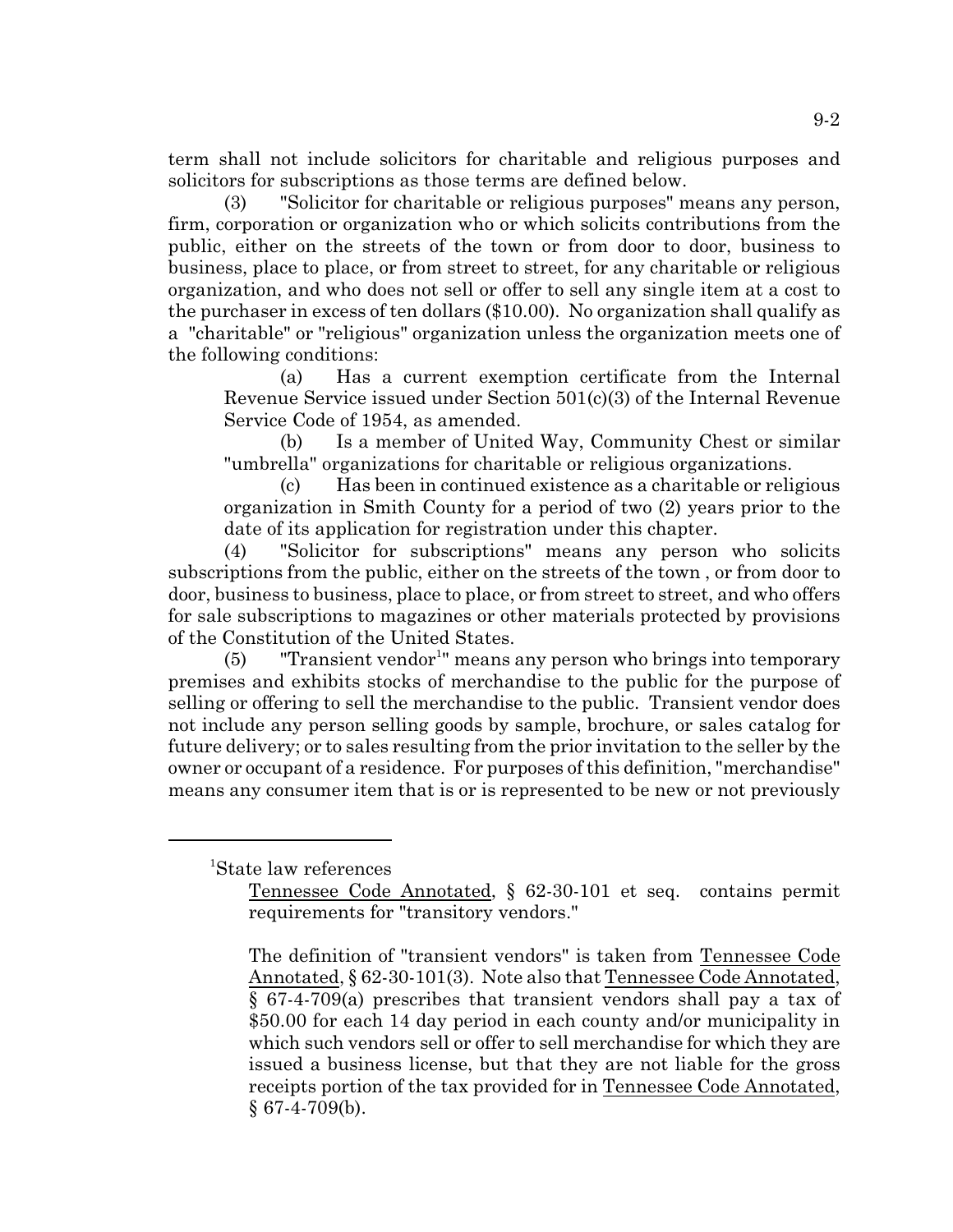term shall not include solicitors for charitable and religious purposes and solicitors for subscriptions as those terms are defined below.

(3) "Solicitor for charitable or religious purposes" means any person, firm, corporation or organization who or which solicits contributions from the public, either on the streets of the town or from door to door, business to business, place to place, or from street to street, for any charitable or religious organization, and who does not sell or offer to sell any single item at a cost to the purchaser in excess of ten dollars (\$10.00). No organization shall qualify as a "charitable" or "religious" organization unless the organization meets one of the following conditions:

(a) Has a current exemption certificate from the Internal Revenue Service issued under Section 501(c)(3) of the Internal Revenue Service Code of 1954, as amended.

(b) Is a member of United Way, Community Chest or similar "umbrella" organizations for charitable or religious organizations.

(c) Has been in continued existence as a charitable or religious organization in Smith County for a period of two (2) years prior to the date of its application for registration under this chapter.

(4) "Solicitor for subscriptions" means any person who solicits subscriptions from the public, either on the streets of the town , or from door to door, business to business, place to place, or from street to street, and who offers for sale subscriptions to magazines or other materials protected by provisions of the Constitution of the United States.

 $(5)$  "Transient vendor<sup>1</sup>" means any person who brings into temporary premises and exhibits stocks of merchandise to the public for the purpose of selling or offering to sell the merchandise to the public. Transient vendor does not include any person selling goods by sample, brochure, or sales catalog for future delivery; or to sales resulting from the prior invitation to the seller by the owner or occupant of a residence. For purposes of this definition, "merchandise" means any consumer item that is or is represented to be new or not previously

<sup>1</sup>State law references

Tennessee Code Annotated, § 62-30-101 et seq. contains permit requirements for "transitory vendors."

The definition of "transient vendors" is taken from Tennessee Code Annotated, § 62-30-101(3). Note also that Tennessee Code Annotated, § 67-4-709(a) prescribes that transient vendors shall pay a tax of \$50.00 for each 14 day period in each county and/or municipality in which such vendors sell or offer to sell merchandise for which they are issued a business license, but that they are not liable for the gross receipts portion of the tax provided for in Tennessee Code Annotated,  $§$  67-4-709(b).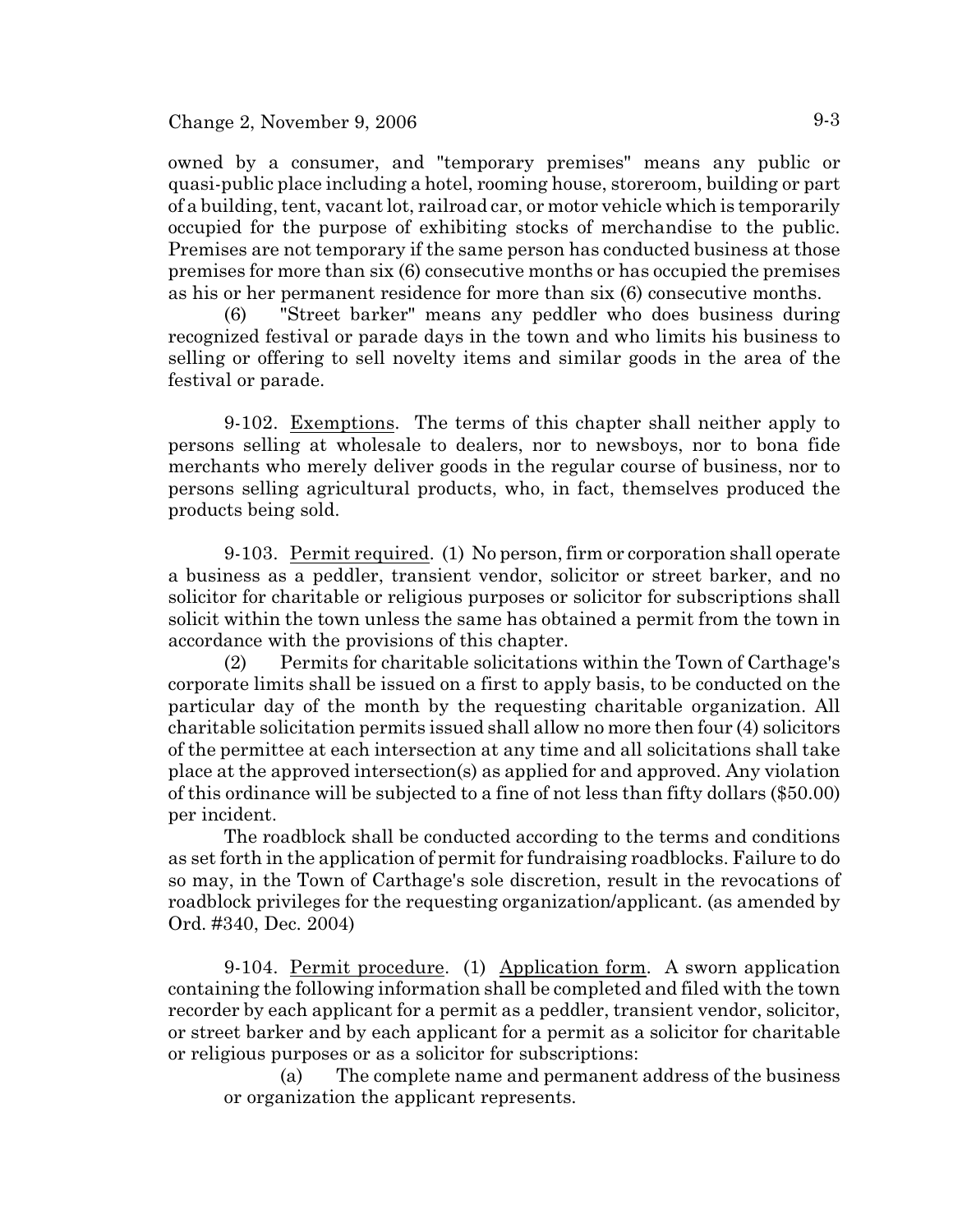### Change 2, November 9, 2006  $9-3$

owned by a consumer, and "temporary premises" means any public or quasi-public place including a hotel, rooming house, storeroom, building or part of a building, tent, vacant lot, railroad car, or motor vehicle which is temporarily occupied for the purpose of exhibiting stocks of merchandise to the public. Premises are not temporary if the same person has conducted business at those premises for more than six (6) consecutive months or has occupied the premises as his or her permanent residence for more than six (6) consecutive months.

(6) "Street barker" means any peddler who does business during recognized festival or parade days in the town and who limits his business to selling or offering to sell novelty items and similar goods in the area of the festival or parade.

9-102. Exemptions. The terms of this chapter shall neither apply to persons selling at wholesale to dealers, nor to newsboys, nor to bona fide merchants who merely deliver goods in the regular course of business, nor to persons selling agricultural products, who, in fact, themselves produced the products being sold.

9-103. Permit required. (1) No person, firm or corporation shall operate a business as a peddler, transient vendor, solicitor or street barker, and no solicitor for charitable or religious purposes or solicitor for subscriptions shall solicit within the town unless the same has obtained a permit from the town in accordance with the provisions of this chapter.

(2) Permits for charitable solicitations within the Town of Carthage's corporate limits shall be issued on a first to apply basis, to be conducted on the particular day of the month by the requesting charitable organization. All charitable solicitation permits issued shall allow no more then four (4) solicitors of the permittee at each intersection at any time and all solicitations shall take place at the approved intersection(s) as applied for and approved. Any violation of this ordinance will be subjected to a fine of not less than fifty dollars (\$50.00) per incident.

The roadblock shall be conducted according to the terms and conditions as set forth in the application of permit for fundraising roadblocks. Failure to do so may, in the Town of Carthage's sole discretion, result in the revocations of roadblock privileges for the requesting organization/applicant. (as amended by Ord. #340, Dec. 2004)

9-104. Permit procedure. (1) Application form. A sworn application containing the following information shall be completed and filed with the town recorder by each applicant for a permit as a peddler, transient vendor, solicitor, or street barker and by each applicant for a permit as a solicitor for charitable or religious purposes or as a solicitor for subscriptions:

(a) The complete name and permanent address of the business or organization the applicant represents.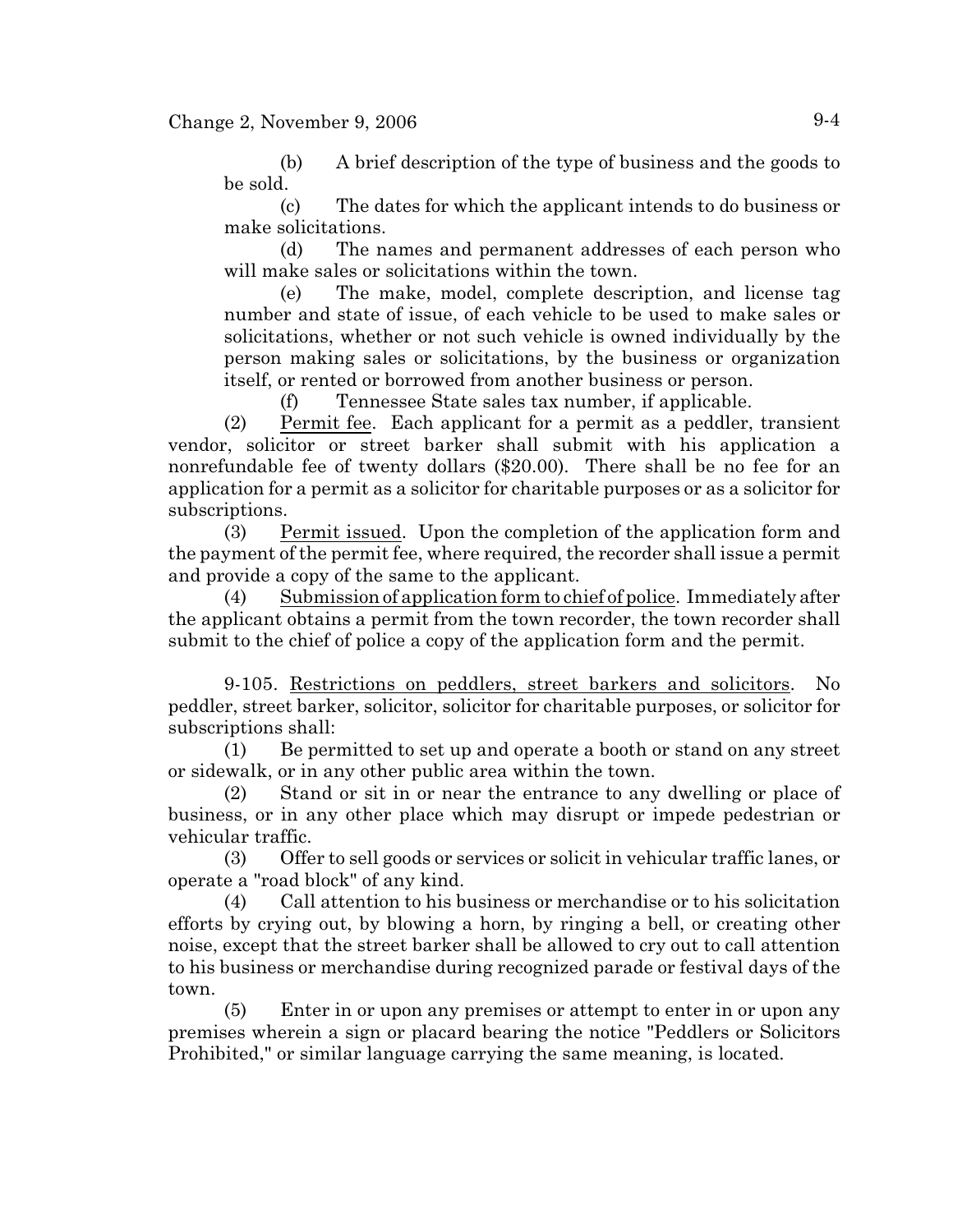(b) A brief description of the type of business and the goods to be sold.

(c) The dates for which the applicant intends to do business or make solicitations.

(d) The names and permanent addresses of each person who will make sales or solicitations within the town.

(e) The make, model, complete description, and license tag number and state of issue, of each vehicle to be used to make sales or solicitations, whether or not such vehicle is owned individually by the person making sales or solicitations, by the business or organization itself, or rented or borrowed from another business or person.

(f) Tennessee State sales tax number, if applicable.

(2) Permit fee. Each applicant for a permit as a peddler, transient vendor, solicitor or street barker shall submit with his application a nonrefundable fee of twenty dollars (\$20.00). There shall be no fee for an application for a permit as a solicitor for charitable purposes or as a solicitor for subscriptions.

(3) Permit issued. Upon the completion of the application form and the payment of the permit fee, where required, the recorder shall issue a permit and provide a copy of the same to the applicant.

(4) Submission of application form to chief of police. Immediately after the applicant obtains a permit from the town recorder, the town recorder shall submit to the chief of police a copy of the application form and the permit.

9-105. Restrictions on peddlers, street barkers and solicitors. No peddler, street barker, solicitor, solicitor for charitable purposes, or solicitor for subscriptions shall:

(1) Be permitted to set up and operate a booth or stand on any street or sidewalk, or in any other public area within the town.

(2) Stand or sit in or near the entrance to any dwelling or place of business, or in any other place which may disrupt or impede pedestrian or vehicular traffic.

(3) Offer to sell goods or services or solicit in vehicular traffic lanes, or operate a "road block" of any kind.

(4) Call attention to his business or merchandise or to his solicitation efforts by crying out, by blowing a horn, by ringing a bell, or creating other noise, except that the street barker shall be allowed to cry out to call attention to his business or merchandise during recognized parade or festival days of the town.

(5) Enter in or upon any premises or attempt to enter in or upon any premises wherein a sign or placard bearing the notice "Peddlers or Solicitors Prohibited," or similar language carrying the same meaning, is located.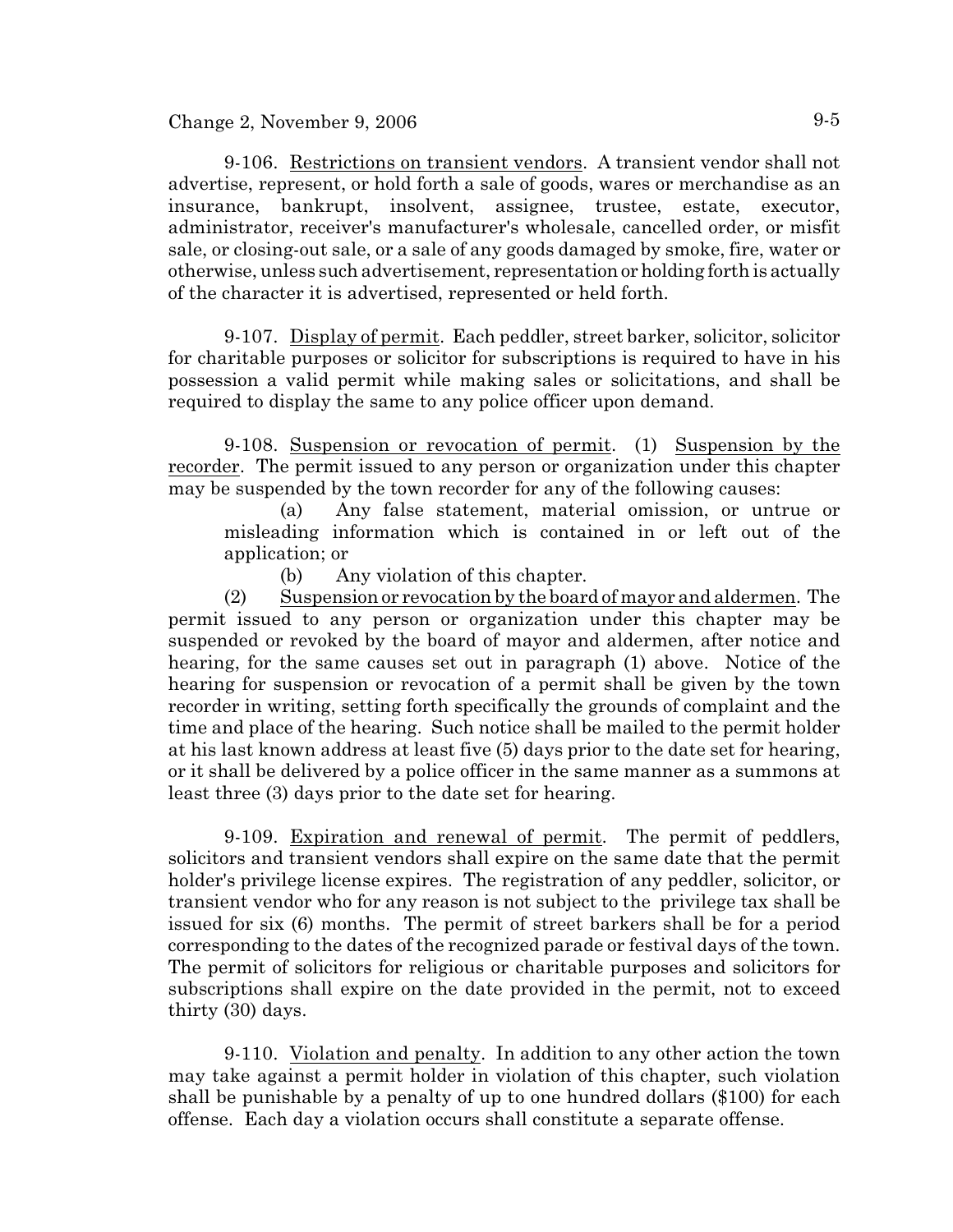Change 2, November 9, 2006  $9-5$ 

9-106. Restrictions on transient vendors. A transient vendor shall not advertise, represent, or hold forth a sale of goods, wares or merchandise as an insurance, bankrupt, insolvent, assignee, trustee, estate, executor, administrator, receiver's manufacturer's wholesale, cancelled order, or misfit sale, or closing-out sale, or a sale of any goods damaged by smoke, fire, water or otherwise, unless such advertisement, representation or holding forth is actually of the character it is advertised, represented or held forth.

9-107. Display of permit. Each peddler, street barker, solicitor, solicitor for charitable purposes or solicitor for subscriptions is required to have in his possession a valid permit while making sales or solicitations, and shall be required to display the same to any police officer upon demand.

9-108. Suspension or revocation of permit. (1) Suspension by the recorder. The permit issued to any person or organization under this chapter may be suspended by the town recorder for any of the following causes:

(a) Any false statement, material omission, or untrue or misleading information which is contained in or left out of the application; or

(b) Any violation of this chapter.

(2) Suspension or revocation by the board of mayor and aldermen. The permit issued to any person or organization under this chapter may be suspended or revoked by the board of mayor and aldermen, after notice and hearing, for the same causes set out in paragraph (1) above. Notice of the hearing for suspension or revocation of a permit shall be given by the town recorder in writing, setting forth specifically the grounds of complaint and the time and place of the hearing. Such notice shall be mailed to the permit holder at his last known address at least five (5) days prior to the date set for hearing, or it shall be delivered by a police officer in the same manner as a summons at least three (3) days prior to the date set for hearing.

9-109. Expiration and renewal of permit. The permit of peddlers, solicitors and transient vendors shall expire on the same date that the permit holder's privilege license expires. The registration of any peddler, solicitor, or transient vendor who for any reason is not subject to the privilege tax shall be issued for six (6) months. The permit of street barkers shall be for a period corresponding to the dates of the recognized parade or festival days of the town. The permit of solicitors for religious or charitable purposes and solicitors for subscriptions shall expire on the date provided in the permit, not to exceed thirty (30) days.

9-110. Violation and penalty. In addition to any other action the town may take against a permit holder in violation of this chapter, such violation shall be punishable by a penalty of up to one hundred dollars (\$100) for each offense. Each day a violation occurs shall constitute a separate offense.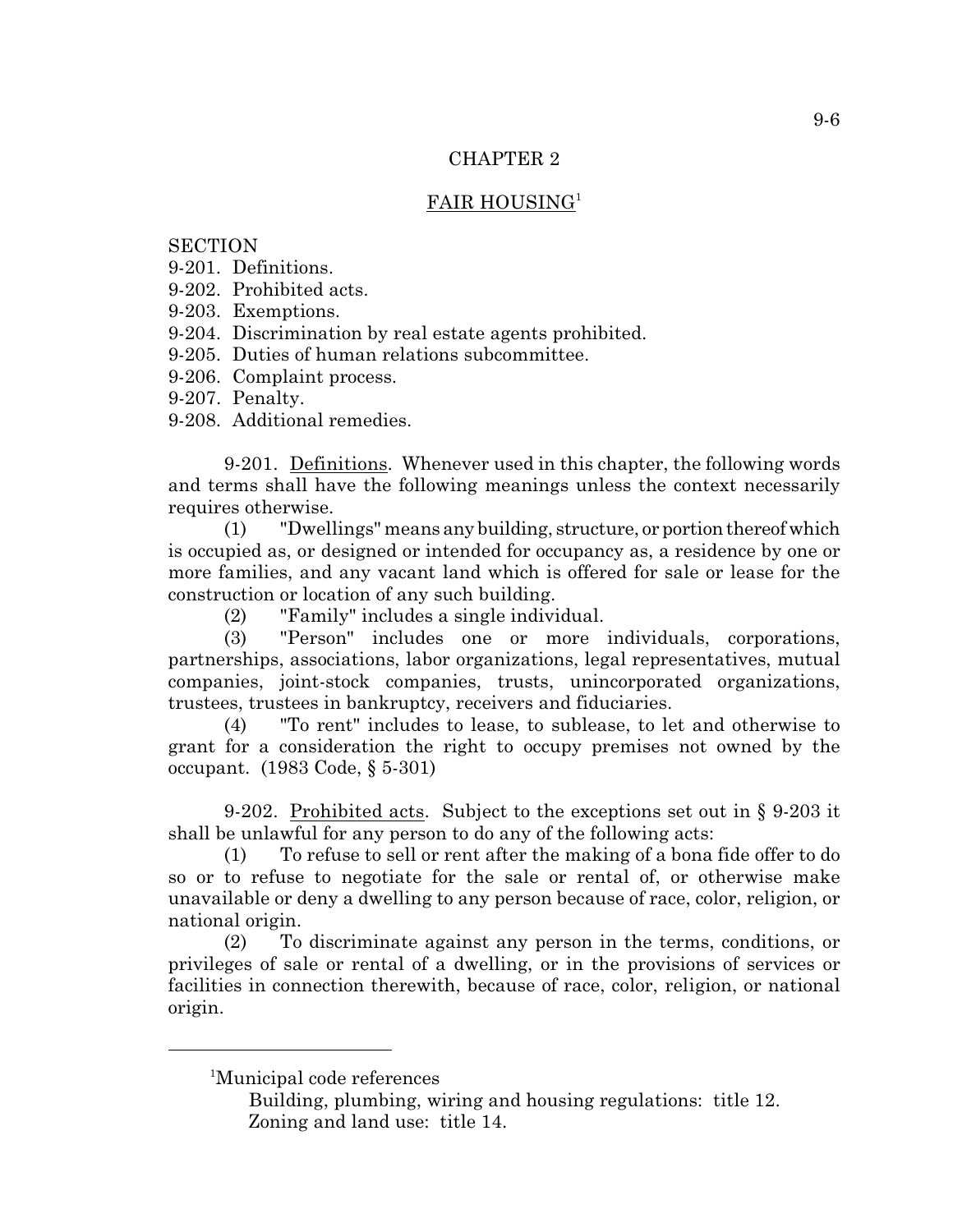### CHAPTER 2

# FAIR HOUSING<sup>1</sup>

### **SECTION**

- 9-201. Definitions.
- 9-202. Prohibited acts.
- 9-203. Exemptions.
- 9-204. Discrimination by real estate agents prohibited.
- 9-205. Duties of human relations subcommittee.
- 9-206. Complaint process.
- 9-207. Penalty.
- 9-208. Additional remedies.

9-201. Definitions. Whenever used in this chapter, the following words and terms shall have the following meanings unless the context necessarily requires otherwise.

(1) "Dwellings" means any building, structure, or portion thereof which is occupied as, or designed or intended for occupancy as, a residence by one or more families, and any vacant land which is offered for sale or lease for the construction or location of any such building.

(2) "Family" includes a single individual.

(3) "Person" includes one or more individuals, corporations, partnerships, associations, labor organizations, legal representatives, mutual companies, joint-stock companies, trusts, unincorporated organizations, trustees, trustees in bankruptcy, receivers and fiduciaries.

(4) "To rent" includes to lease, to sublease, to let and otherwise to grant for a consideration the right to occupy premises not owned by the occupant. (1983 Code, § 5-301)

9-202. Prohibited acts. Subject to the exceptions set out in § 9-203 it shall be unlawful for any person to do any of the following acts:

(1) To refuse to sell or rent after the making of a bona fide offer to do so or to refuse to negotiate for the sale or rental of, or otherwise make unavailable or deny a dwelling to any person because of race, color, religion, or national origin.

(2) To discriminate against any person in the terms, conditions, or privileges of sale or rental of a dwelling, or in the provisions of services or facilities in connection therewith, because of race, color, religion, or national origin.

<sup>1</sup>Municipal code references

Building, plumbing, wiring and housing regulations: title 12. Zoning and land use: title 14.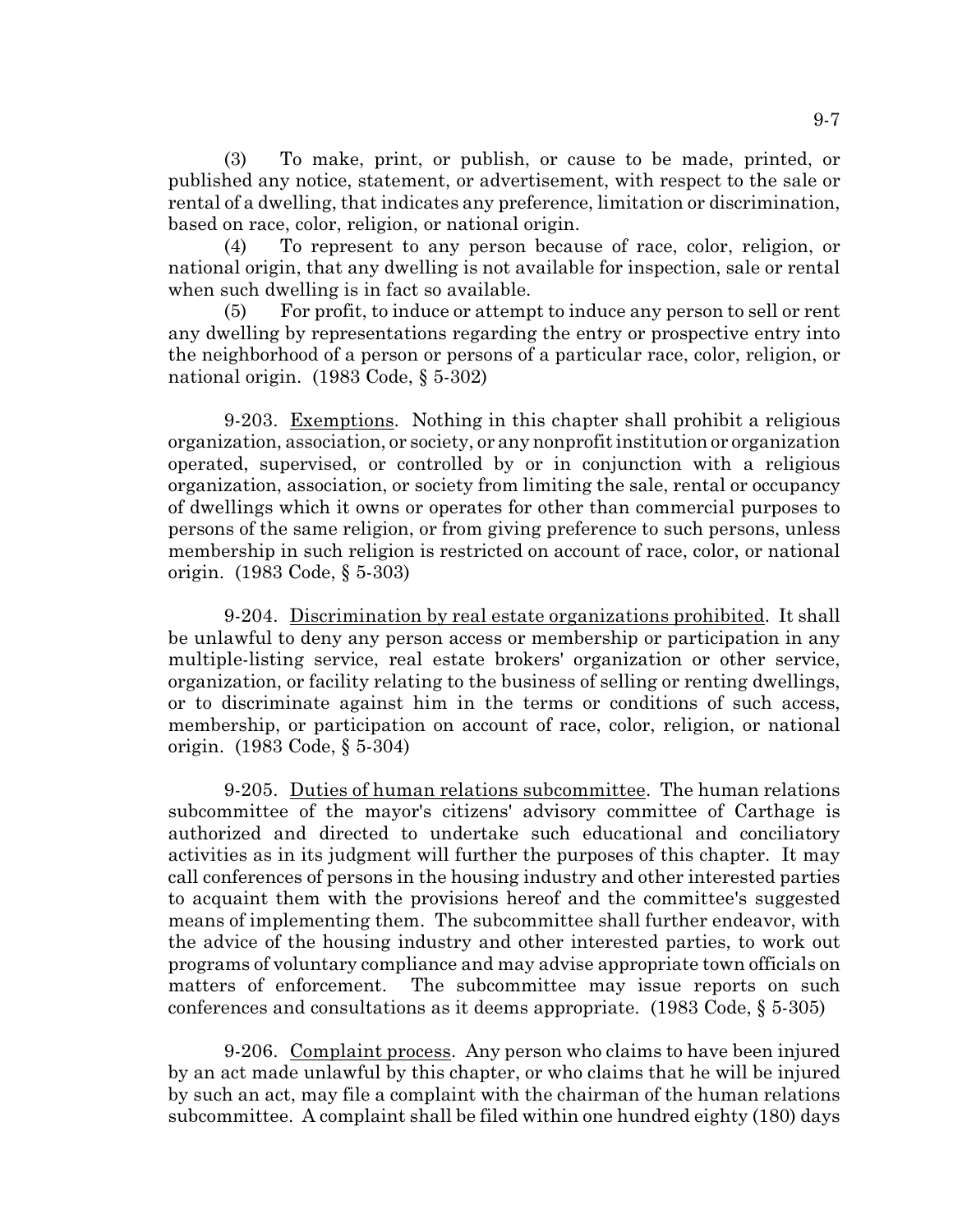(3) To make, print, or publish, or cause to be made, printed, or published any notice, statement, or advertisement, with respect to the sale or rental of a dwelling, that indicates any preference, limitation or discrimination, based on race, color, religion, or national origin.

(4) To represent to any person because of race, color, religion, or national origin, that any dwelling is not available for inspection, sale or rental when such dwelling is in fact so available.

(5) For profit, to induce or attempt to induce any person to sell or rent any dwelling by representations regarding the entry or prospective entry into the neighborhood of a person or persons of a particular race, color, religion, or national origin. (1983 Code, § 5-302)

9-203. Exemptions. Nothing in this chapter shall prohibit a religious organization, association, or society, or any nonprofit institution or organization operated, supervised, or controlled by or in conjunction with a religious organization, association, or society from limiting the sale, rental or occupancy of dwellings which it owns or operates for other than commercial purposes to persons of the same religion, or from giving preference to such persons, unless membership in such religion is restricted on account of race, color, or national origin. (1983 Code, § 5-303)

9-204. Discrimination by real estate organizations prohibited. It shall be unlawful to deny any person access or membership or participation in any multiple-listing service, real estate brokers' organization or other service, organization, or facility relating to the business of selling or renting dwellings, or to discriminate against him in the terms or conditions of such access, membership, or participation on account of race, color, religion, or national origin. (1983 Code, § 5-304)

9-205. Duties of human relations subcommittee. The human relations subcommittee of the mayor's citizens' advisory committee of Carthage is authorized and directed to undertake such educational and conciliatory activities as in its judgment will further the purposes of this chapter. It may call conferences of persons in the housing industry and other interested parties to acquaint them with the provisions hereof and the committee's suggested means of implementing them. The subcommittee shall further endeavor, with the advice of the housing industry and other interested parties, to work out programs of voluntary compliance and may advise appropriate town officials on matters of enforcement. The subcommittee may issue reports on such conferences and consultations as it deems appropriate. (1983 Code, § 5-305)

9-206. Complaint process. Any person who claims to have been injured by an act made unlawful by this chapter, or who claims that he will be injured by such an act, may file a complaint with the chairman of the human relations subcommittee. A complaint shall be filed within one hundred eighty (180) days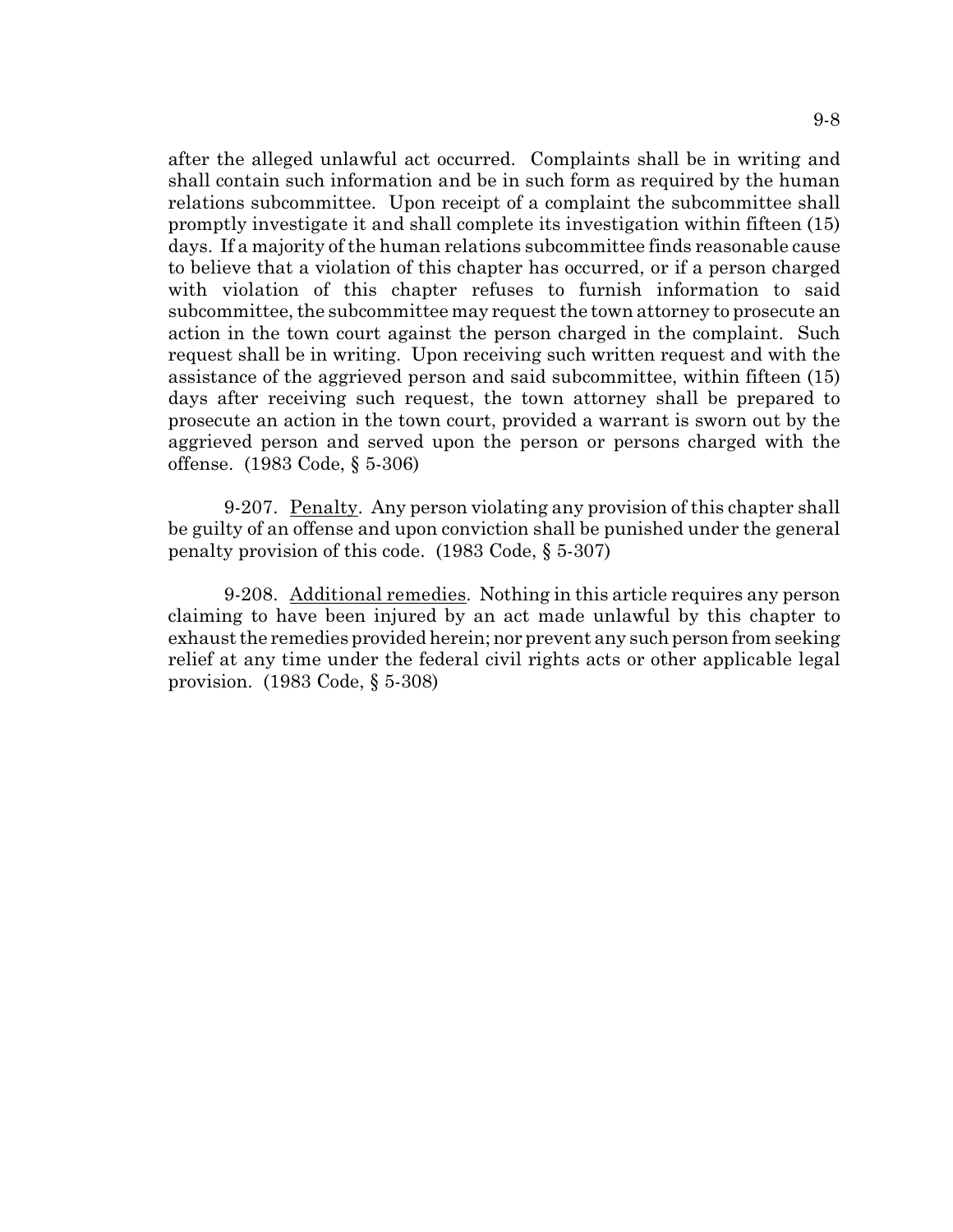after the alleged unlawful act occurred. Complaints shall be in writing and shall contain such information and be in such form as required by the human relations subcommittee. Upon receipt of a complaint the subcommittee shall promptly investigate it and shall complete its investigation within fifteen (15) days. If a majority of the human relations subcommittee finds reasonable cause to believe that a violation of this chapter has occurred, or if a person charged with violation of this chapter refuses to furnish information to said subcommittee, the subcommittee may request the town attorney to prosecute an action in the town court against the person charged in the complaint. Such request shall be in writing. Upon receiving such written request and with the assistance of the aggrieved person and said subcommittee, within fifteen (15) days after receiving such request, the town attorney shall be prepared to prosecute an action in the town court, provided a warrant is sworn out by the aggrieved person and served upon the person or persons charged with the offense. (1983 Code, § 5-306)

9-207. Penalty. Any person violating any provision of this chapter shall be guilty of an offense and upon conviction shall be punished under the general penalty provision of this code. (1983 Code, § 5-307)

9-208. Additional remedies. Nothing in this article requires any person claiming to have been injured by an act made unlawful by this chapter to exhaust the remedies provided herein; nor prevent any such person from seeking relief at any time under the federal civil rights acts or other applicable legal provision. (1983 Code, § 5-308)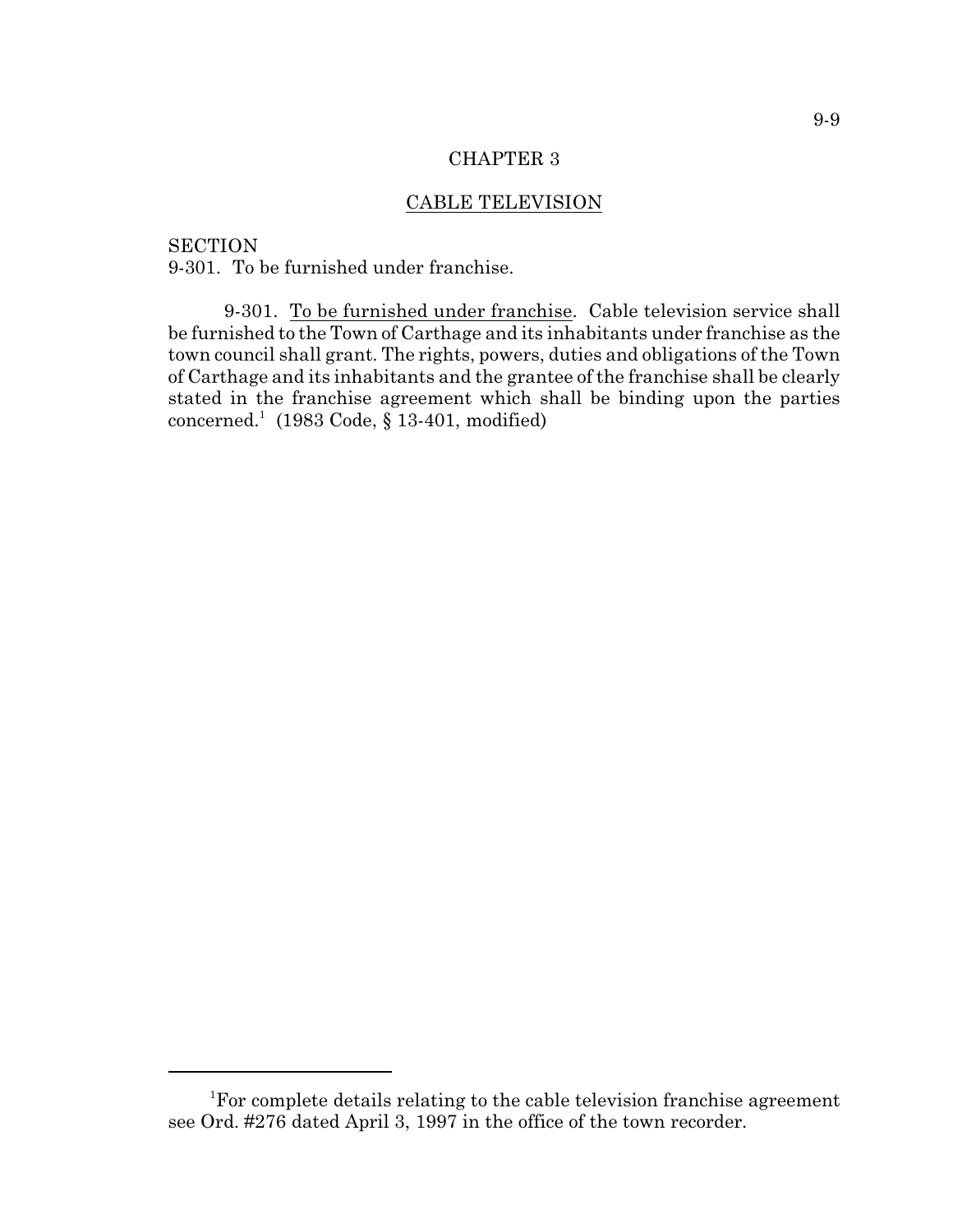#### CHAPTER 3

### CABLE TELEVISION

**SECTION** 9-301. To be furnished under franchise.

9-301. To be furnished under franchise. Cable television service shall be furnished to the Town of Carthage and its inhabitants under franchise as the town council shall grant. The rights, powers, duties and obligations of the Town of Carthage and its inhabitants and the grantee of the franchise shall be clearly stated in the franchise agreement which shall be binding upon the parties concerned.<sup>1</sup> (1983 Code,  $\S$  13-401, modified)

<sup>&</sup>lt;sup>1</sup>For complete details relating to the cable television franchise agreement see Ord. #276 dated April 3, 1997 in the office of the town recorder.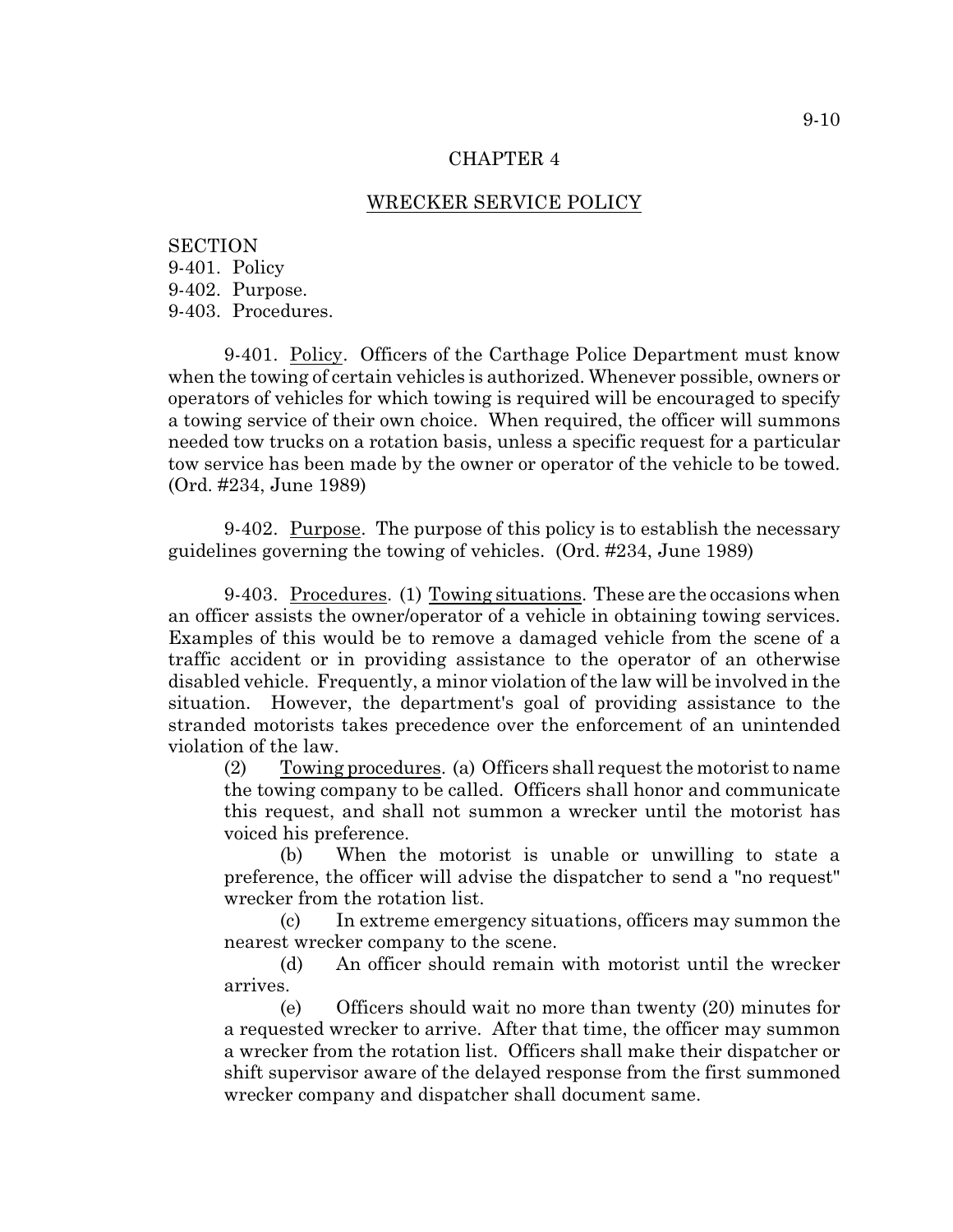#### CHAPTER 4

#### WRECKER SERVICE POLICY

**SECTION** 9-401. Policy 9-402. Purpose. 9-403. Procedures.

9-401. Policy. Officers of the Carthage Police Department must know when the towing of certain vehicles is authorized. Whenever possible, owners or operators of vehicles for which towing is required will be encouraged to specify a towing service of their own choice. When required, the officer will summons needed tow trucks on a rotation basis, unless a specific request for a particular tow service has been made by the owner or operator of the vehicle to be towed. (Ord. #234, June 1989)

9-402. Purpose. The purpose of this policy is to establish the necessary guidelines governing the towing of vehicles. (Ord. #234, June 1989)

9-403. Procedures. (1) Towing situations. These are the occasions when an officer assists the owner/operator of a vehicle in obtaining towing services. Examples of this would be to remove a damaged vehicle from the scene of a traffic accident or in providing assistance to the operator of an otherwise disabled vehicle. Frequently, a minor violation of the law will be involved in the situation. However, the department's goal of providing assistance to the stranded motorists takes precedence over the enforcement of an unintended violation of the law.

(2) Towing procedures. (a) Officers shall request the motoristto name the towing company to be called. Officers shall honor and communicate this request, and shall not summon a wrecker until the motorist has voiced his preference.

(b) When the motorist is unable or unwilling to state a preference, the officer will advise the dispatcher to send a "no request" wrecker from the rotation list.

(c) In extreme emergency situations, officers may summon the nearest wrecker company to the scene.

(d) An officer should remain with motorist until the wrecker arrives.

(e) Officers should wait no more than twenty (20) minutes for a requested wrecker to arrive. After that time, the officer may summon a wrecker from the rotation list. Officers shall make their dispatcher or shift supervisor aware of the delayed response from the first summoned wrecker company and dispatcher shall document same.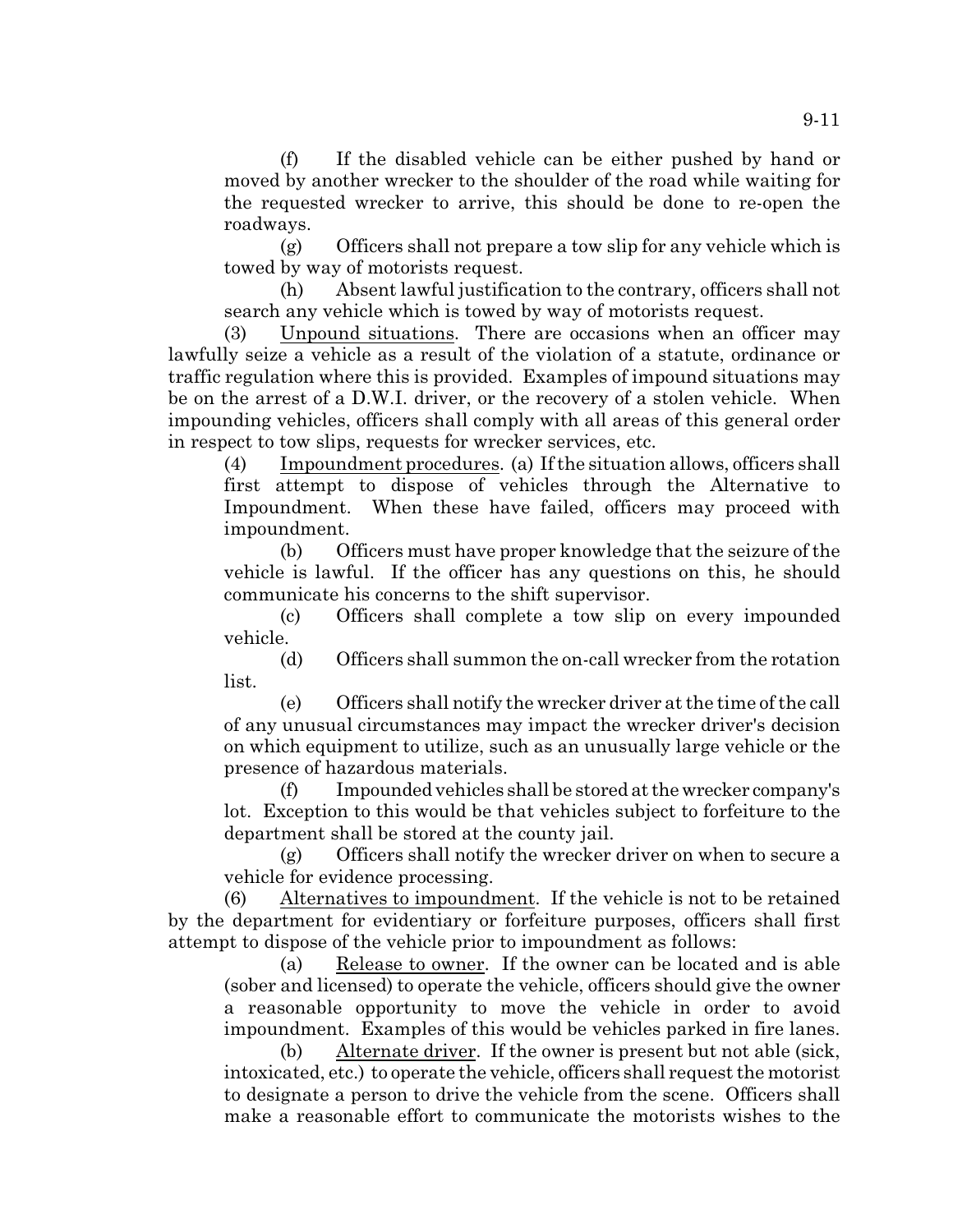(f) If the disabled vehicle can be either pushed by hand or moved by another wrecker to the shoulder of the road while waiting for the requested wrecker to arrive, this should be done to re-open the roadways.

(g) Officers shall not prepare a tow slip for any vehicle which is towed by way of motorists request.

(h) Absent lawful justification to the contrary, officers shall not search any vehicle which is towed by way of motorists request.

(3) Unpound situations. There are occasions when an officer may lawfully seize a vehicle as a result of the violation of a statute, ordinance or traffic regulation where this is provided. Examples of impound situations may be on the arrest of a D.W.I. driver, or the recovery of a stolen vehicle. When impounding vehicles, officers shall comply with all areas of this general order in respect to tow slips, requests for wrecker services, etc.

(4) Impoundment procedures. (a) If the situation allows, officers shall first attempt to dispose of vehicles through the Alternative to Impoundment. When these have failed, officers may proceed with impoundment.

(b) Officers must have proper knowledge that the seizure of the vehicle is lawful. If the officer has any questions on this, he should communicate his concerns to the shift supervisor.

(c) Officers shall complete a tow slip on every impounded vehicle.

(d) Officers shall summon the on-call wrecker from the rotation list.

(e) Officers shall notify the wrecker driver at the time of the call of any unusual circumstances may impact the wrecker driver's decision on which equipment to utilize, such as an unusually large vehicle or the presence of hazardous materials.

(f) Impounded vehicles shall be stored at the wrecker company's lot. Exception to this would be that vehicles subject to forfeiture to the department shall be stored at the county jail.

(g) Officers shall notify the wrecker driver on when to secure a vehicle for evidence processing.

(6) Alternatives to impoundment. If the vehicle is not to be retained by the department for evidentiary or forfeiture purposes, officers shall first attempt to dispose of the vehicle prior to impoundment as follows:

(a) Release to owner. If the owner can be located and is able (sober and licensed) to operate the vehicle, officers should give the owner a reasonable opportunity to move the vehicle in order to avoid impoundment. Examples of this would be vehicles parked in fire lanes.

(b) Alternate driver. If the owner is present but not able (sick, intoxicated, etc.) to operate the vehicle, officers shall request the motorist to designate a person to drive the vehicle from the scene. Officers shall make a reasonable effort to communicate the motorists wishes to the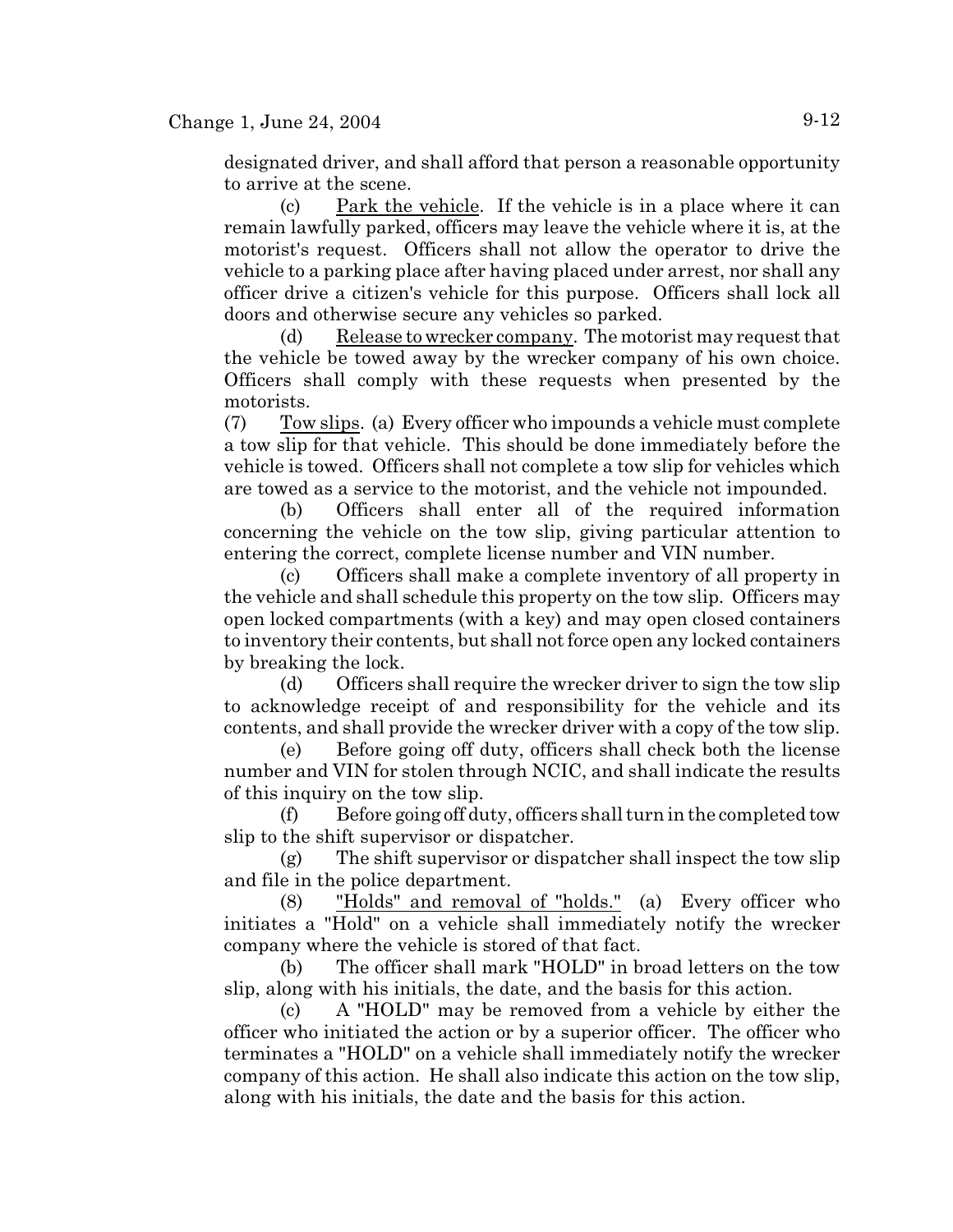designated driver, and shall afford that person a reasonable opportunity to arrive at the scene.

(c) Park the vehicle. If the vehicle is in a place where it can remain lawfully parked, officers may leave the vehicle where it is, at the motorist's request. Officers shall not allow the operator to drive the vehicle to a parking place after having placed under arrest, nor shall any officer drive a citizen's vehicle for this purpose. Officers shall lock all doors and otherwise secure any vehicles so parked.

(d) Release to wrecker company. The motorist may request that the vehicle be towed away by the wrecker company of his own choice. Officers shall comply with these requests when presented by the motorists.

(7) Tow slips. (a) Every officer who impounds a vehicle must complete a tow slip for that vehicle. This should be done immediately before the vehicle is towed. Officers shall not complete a tow slip for vehicles which are towed as a service to the motorist, and the vehicle not impounded.

(b) Officers shall enter all of the required information concerning the vehicle on the tow slip, giving particular attention to entering the correct, complete license number and VIN number.

(c) Officers shall make a complete inventory of all property in the vehicle and shall schedule this property on the tow slip. Officers may open locked compartments (with a key) and may open closed containers to inventory their contents, but shall not force open any locked containers by breaking the lock.

(d) Officers shall require the wrecker driver to sign the tow slip to acknowledge receipt of and responsibility for the vehicle and its contents, and shall provide the wrecker driver with a copy of the tow slip.

(e) Before going off duty, officers shall check both the license number and VIN for stolen through NCIC, and shall indicate the results of this inquiry on the tow slip.

(f) Before going off duty, officers shall turn in the completed tow slip to the shift supervisor or dispatcher.

(g) The shift supervisor or dispatcher shall inspect the tow slip and file in the police department.

(8) "Holds" and removal of "holds." (a) Every officer who initiates a "Hold" on a vehicle shall immediately notify the wrecker company where the vehicle is stored of that fact.

(b) The officer shall mark "HOLD" in broad letters on the tow slip, along with his initials, the date, and the basis for this action.

(c) A "HOLD" may be removed from a vehicle by either the officer who initiated the action or by a superior officer. The officer who terminates a "HOLD" on a vehicle shall immediately notify the wrecker company of this action. He shall also indicate this action on the tow slip, along with his initials, the date and the basis for this action.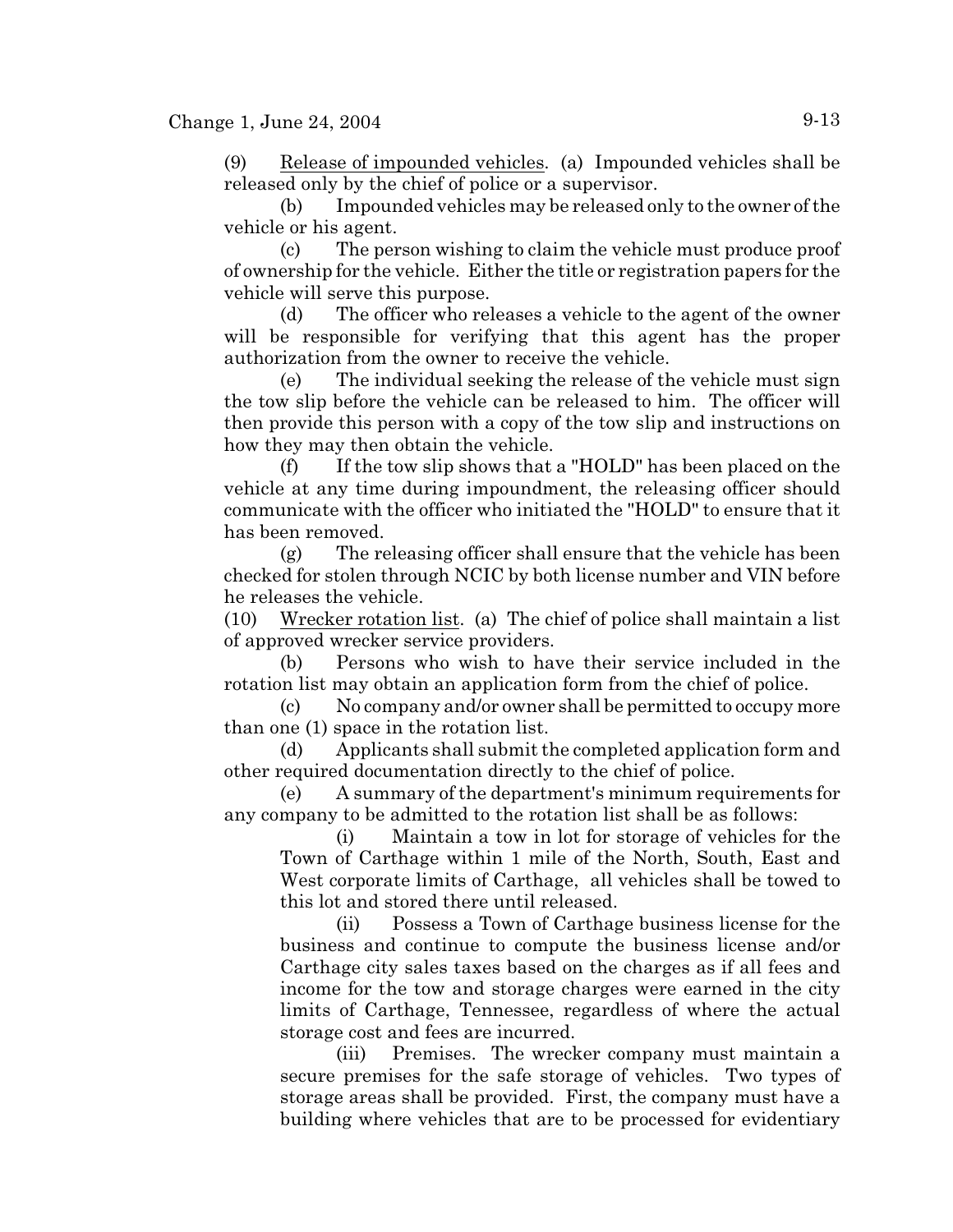(9) Release of impounded vehicles. (a) Impounded vehicles shall be released only by the chief of police or a supervisor.

(b) Impounded vehicles may be released only to the owner of the vehicle or his agent.

(c) The person wishing to claim the vehicle must produce proof of ownership for the vehicle. Either the title or registration papers for the vehicle will serve this purpose.

(d) The officer who releases a vehicle to the agent of the owner will be responsible for verifying that this agent has the proper authorization from the owner to receive the vehicle.

(e) The individual seeking the release of the vehicle must sign the tow slip before the vehicle can be released to him. The officer will then provide this person with a copy of the tow slip and instructions on how they may then obtain the vehicle.

(f) If the tow slip shows that a "HOLD" has been placed on the vehicle at any time during impoundment, the releasing officer should communicate with the officer who initiated the "HOLD" to ensure that it has been removed.

(g) The releasing officer shall ensure that the vehicle has been checked for stolen through NCIC by both license number and VIN before he releases the vehicle.

(10) Wrecker rotation list. (a) The chief of police shall maintain a list of approved wrecker service providers.

(b) Persons who wish to have their service included in the rotation list may obtain an application form from the chief of police.

(c) No company and/or owner shall be permitted to occupy more than one (1) space in the rotation list.

(d) Applicants shall submit the completed application form and other required documentation directly to the chief of police.

(e) A summary of the department's minimum requirements for any company to be admitted to the rotation list shall be as follows:

(i) Maintain a tow in lot for storage of vehicles for the Town of Carthage within 1 mile of the North, South, East and West corporate limits of Carthage, all vehicles shall be towed to this lot and stored there until released.

(ii) Possess a Town of Carthage business license for the business and continue to compute the business license and/or Carthage city sales taxes based on the charges as if all fees and income for the tow and storage charges were earned in the city limits of Carthage, Tennessee, regardless of where the actual storage cost and fees are incurred.

(iii) Premises. The wrecker company must maintain a secure premises for the safe storage of vehicles. Two types of storage areas shall be provided. First, the company must have a building where vehicles that are to be processed for evidentiary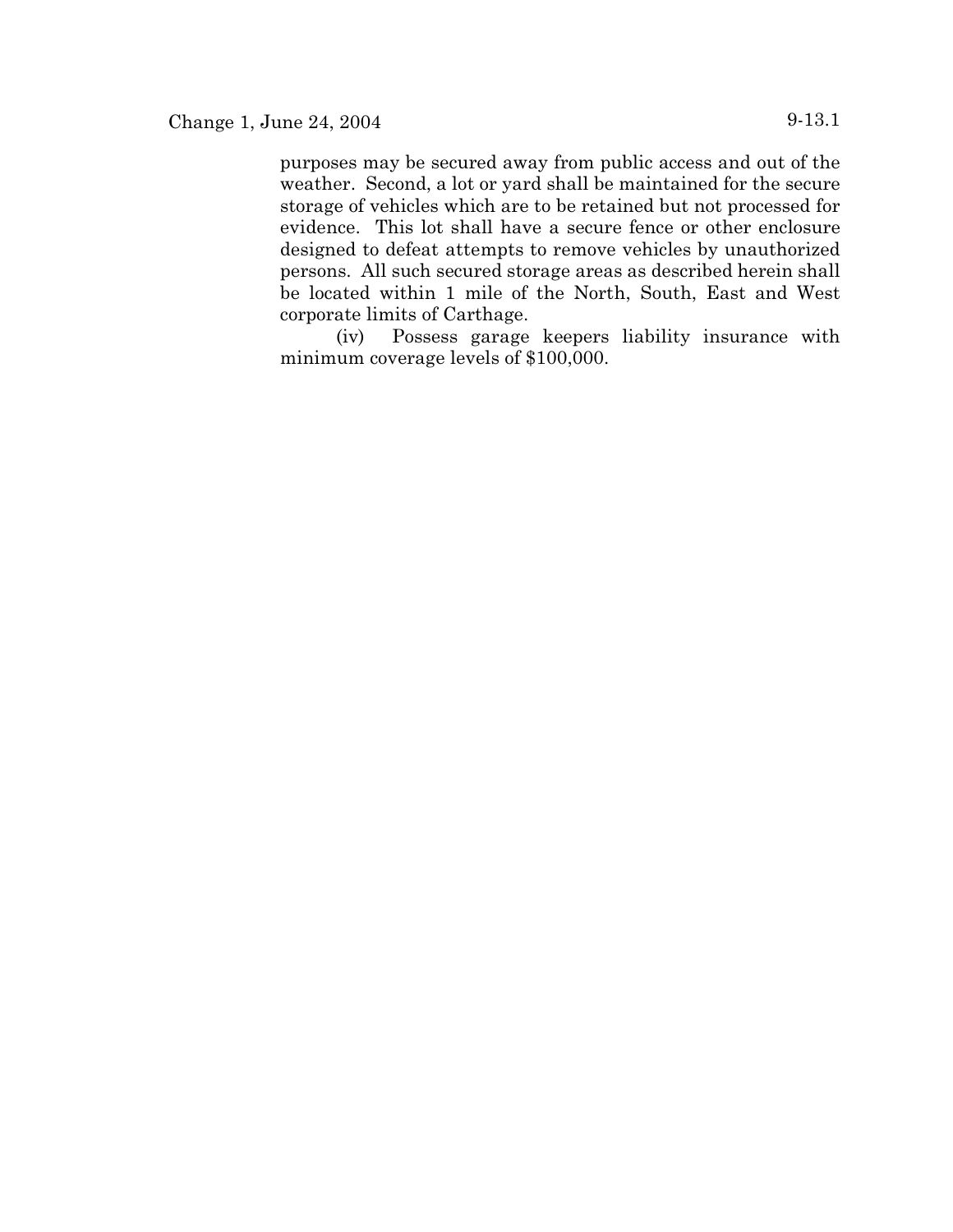purposes may be secured away from public access and out of the weather. Second, a lot or yard shall be maintained for the secure storage of vehicles which are to be retained but not processed for evidence. This lot shall have a secure fence or other enclosure designed to defeat attempts to remove vehicles by unauthorized persons. All such secured storage areas as described herein shall be located within 1 mile of the North, South, East and West corporate limits of Carthage.

(iv) Possess garage keepers liability insurance with minimum coverage levels of \$100,000.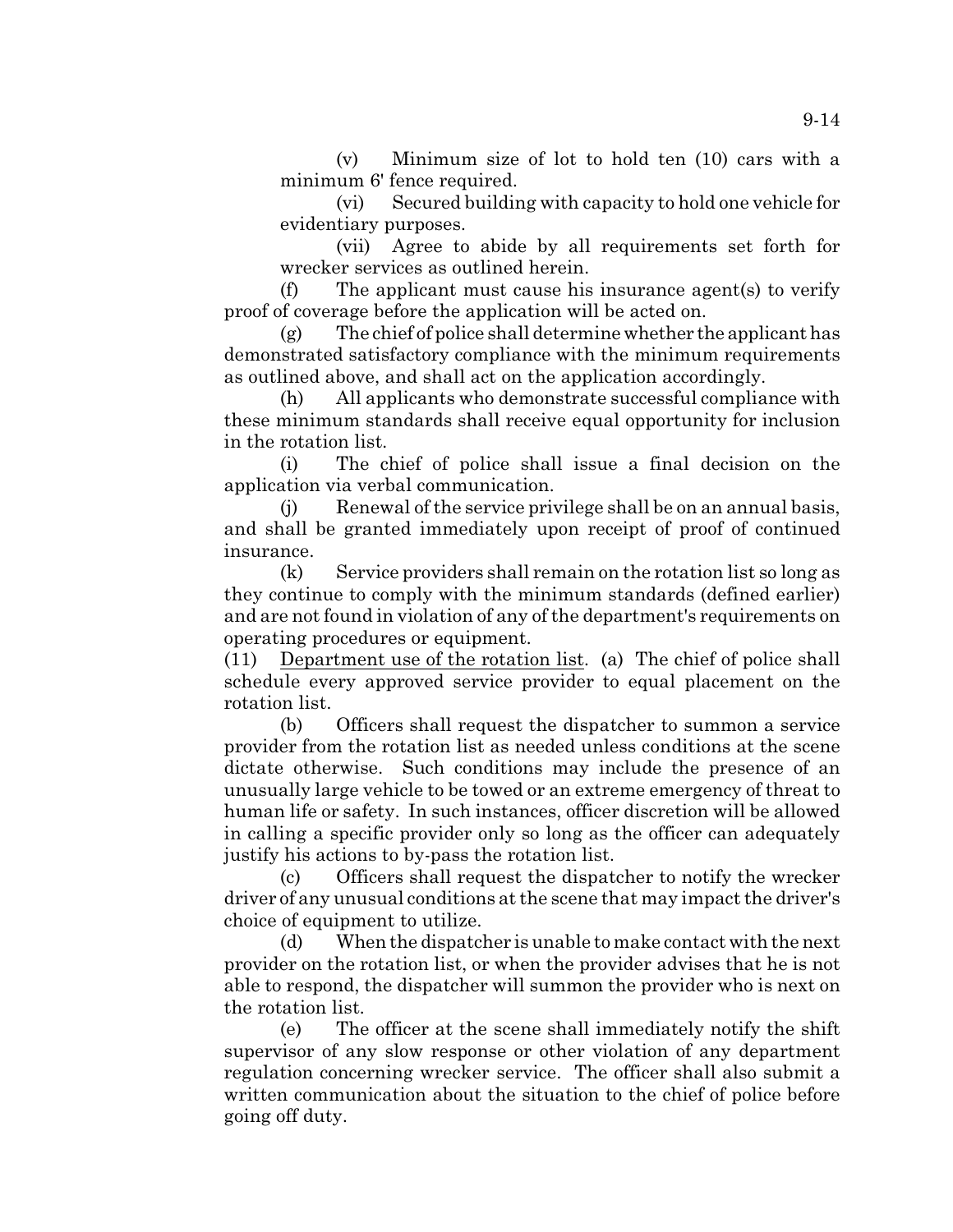(v) Minimum size of lot to hold ten (10) cars with a minimum 6' fence required.

(vi) Secured building with capacity to hold one vehicle for evidentiary purposes.

(vii) Agree to abide by all requirements set forth for wrecker services as outlined herein.

(f) The applicant must cause his insurance agent(s) to verify proof of coverage before the application will be acted on.

(g) The chief of police shall determine whether the applicant has demonstrated satisfactory compliance with the minimum requirements as outlined above, and shall act on the application accordingly.

(h) All applicants who demonstrate successful compliance with these minimum standards shall receive equal opportunity for inclusion in the rotation list.

(i) The chief of police shall issue a final decision on the application via verbal communication.

(j) Renewal of the service privilege shall be on an annual basis, and shall be granted immediately upon receipt of proof of continued insurance.

(k) Service providers shall remain on the rotation list so long as they continue to comply with the minimum standards (defined earlier) and are not found in violation of any of the department's requirements on operating procedures or equipment.

(11) Department use of the rotation list. (a) The chief of police shall schedule every approved service provider to equal placement on the rotation list.

(b) Officers shall request the dispatcher to summon a service provider from the rotation list as needed unless conditions at the scene dictate otherwise. Such conditions may include the presence of an unusually large vehicle to be towed or an extreme emergency of threat to human life or safety. In such instances, officer discretion will be allowed in calling a specific provider only so long as the officer can adequately justify his actions to by-pass the rotation list.

(c) Officers shall request the dispatcher to notify the wrecker driver of any unusual conditions at the scene that may impact the driver's choice of equipment to utilize.

(d) When the dispatcher is unable to make contact with the next provider on the rotation list, or when the provider advises that he is not able to respond, the dispatcher will summon the provider who is next on the rotation list.

(e) The officer at the scene shall immediately notify the shift supervisor of any slow response or other violation of any department regulation concerning wrecker service. The officer shall also submit a written communication about the situation to the chief of police before going off duty.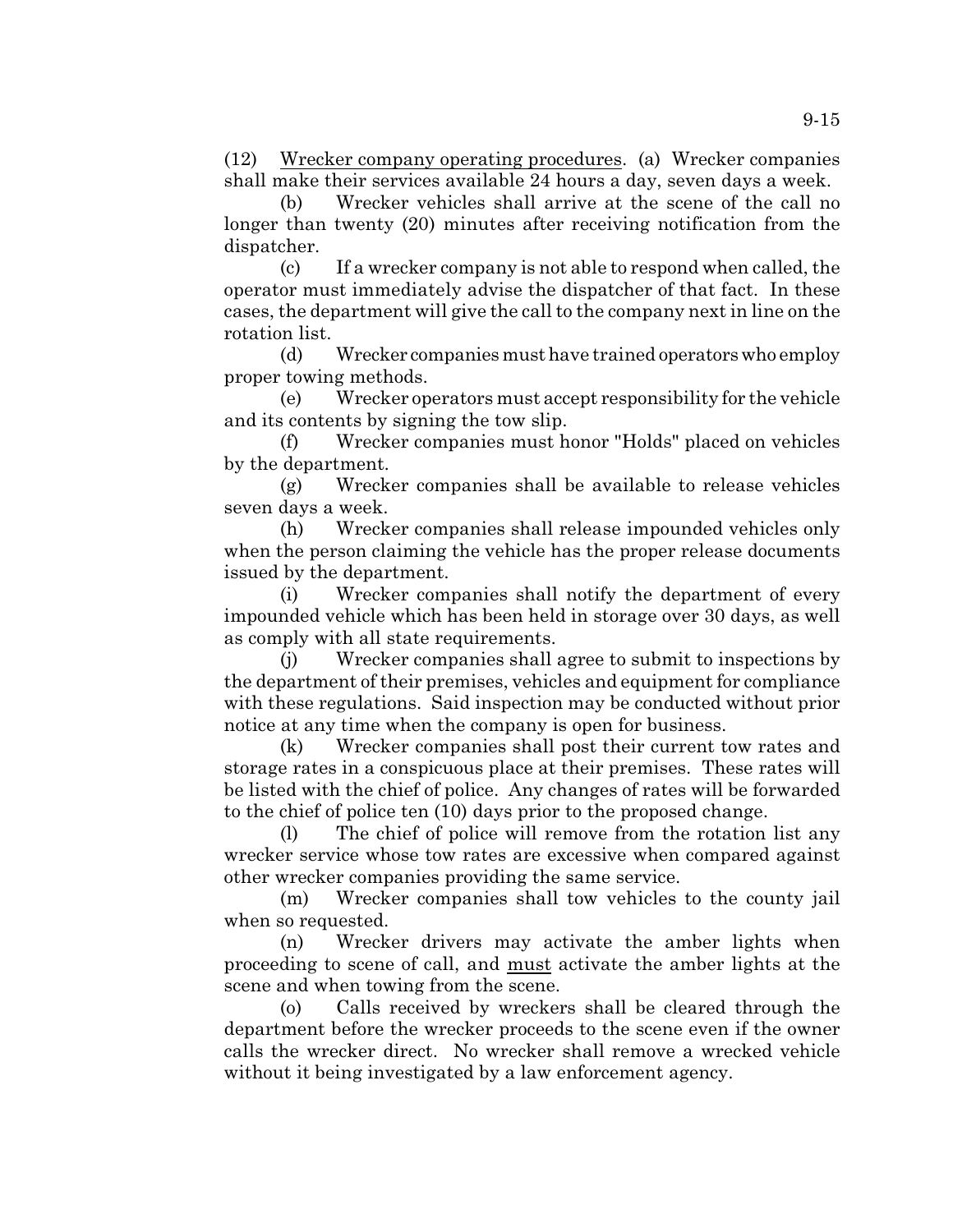(12) Wrecker company operating procedures. (a) Wrecker companies shall make their services available 24 hours a day, seven days a week.

(b) Wrecker vehicles shall arrive at the scene of the call no longer than twenty (20) minutes after receiving notification from the dispatcher.

(c) If a wrecker company is not able to respond when called, the operator must immediately advise the dispatcher of that fact. In these cases, the department will give the call to the company next in line on the rotation list.

(d) Wrecker companies must have trained operators who employ proper towing methods.

(e) Wrecker operators must accept responsibility for the vehicle and its contents by signing the tow slip.

(f) Wrecker companies must honor "Holds" placed on vehicles by the department.

(g) Wrecker companies shall be available to release vehicles seven days a week.

(h) Wrecker companies shall release impounded vehicles only when the person claiming the vehicle has the proper release documents issued by the department.

(i) Wrecker companies shall notify the department of every impounded vehicle which has been held in storage over 30 days, as well as comply with all state requirements.

(j) Wrecker companies shall agree to submit to inspections by the department of their premises, vehicles and equipment for compliance with these regulations. Said inspection may be conducted without prior notice at any time when the company is open for business.

(k) Wrecker companies shall post their current tow rates and storage rates in a conspicuous place at their premises. These rates will be listed with the chief of police. Any changes of rates will be forwarded to the chief of police ten (10) days prior to the proposed change.

(l) The chief of police will remove from the rotation list any wrecker service whose tow rates are excessive when compared against other wrecker companies providing the same service.

(m) Wrecker companies shall tow vehicles to the county jail when so requested.

(n) Wrecker drivers may activate the amber lights when proceeding to scene of call, and must activate the amber lights at the scene and when towing from the scene.

(o) Calls received by wreckers shall be cleared through the department before the wrecker proceeds to the scene even if the owner calls the wrecker direct. No wrecker shall remove a wrecked vehicle without it being investigated by a law enforcement agency.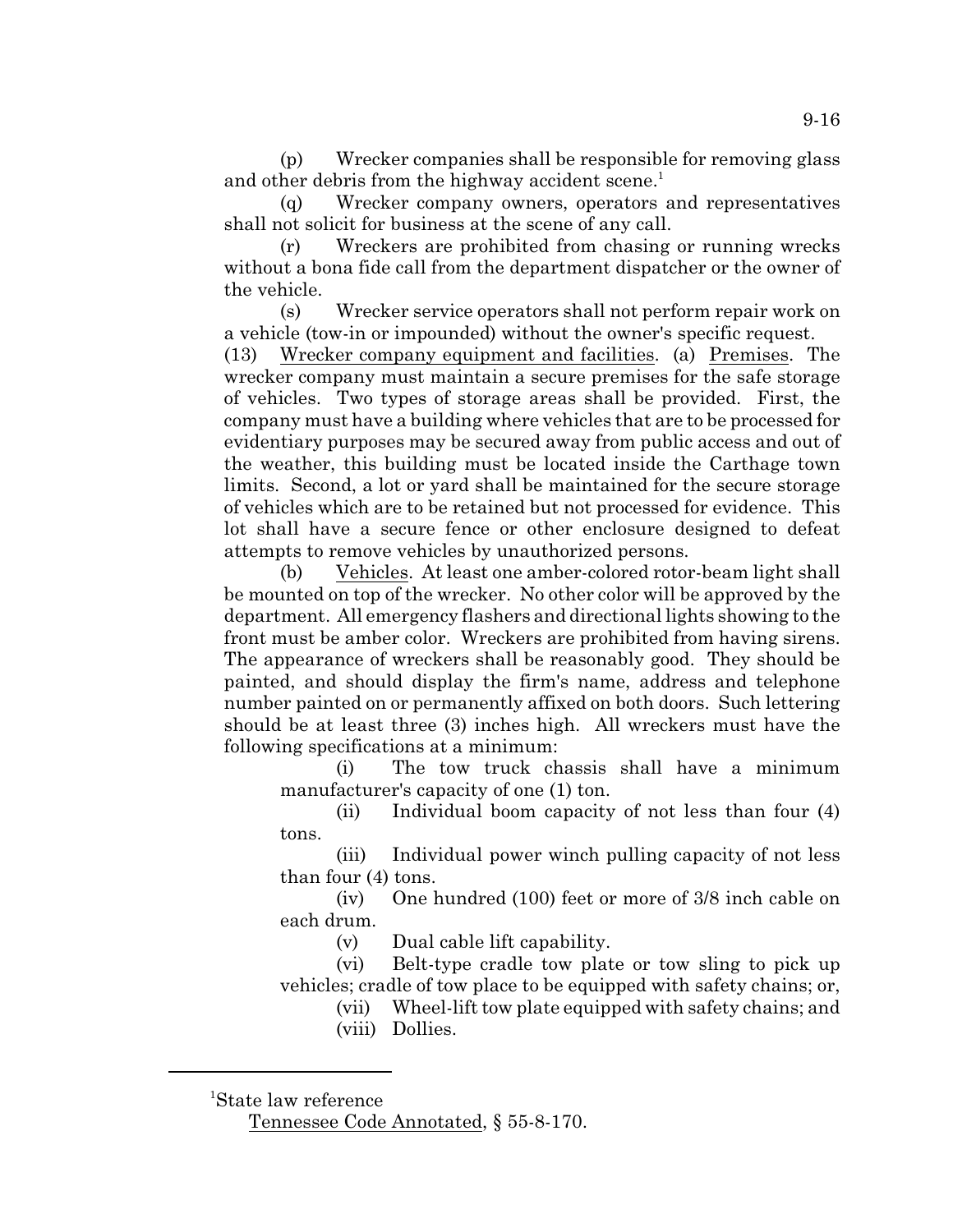(p) Wrecker companies shall be responsible for removing glass and other debris from the highway accident scene.<sup>1</sup>

(q) Wrecker company owners, operators and representatives shall not solicit for business at the scene of any call.

(r) Wreckers are prohibited from chasing or running wrecks without a bona fide call from the department dispatcher or the owner of the vehicle.

(s) Wrecker service operators shall not perform repair work on a vehicle (tow-in or impounded) without the owner's specific request.

(13) Wrecker company equipment and facilities. (a) Premises. The wrecker company must maintain a secure premises for the safe storage of vehicles. Two types of storage areas shall be provided. First, the company must have a building where vehicles that are to be processed for evidentiary purposes may be secured away from public access and out of the weather, this building must be located inside the Carthage town limits. Second, a lot or yard shall be maintained for the secure storage of vehicles which are to be retained but not processed for evidence. This lot shall have a secure fence or other enclosure designed to defeat attempts to remove vehicles by unauthorized persons.

(b) Vehicles. At least one amber-colored rotor-beam light shall be mounted on top of the wrecker. No other color will be approved by the department. All emergency flashers and directional lights showing to the front must be amber color. Wreckers are prohibited from having sirens. The appearance of wreckers shall be reasonably good. They should be painted, and should display the firm's name, address and telephone number painted on or permanently affixed on both doors. Such lettering should be at least three (3) inches high. All wreckers must have the following specifications at a minimum:

(i) The tow truck chassis shall have a minimum manufacturer's capacity of one (1) ton.

(ii) Individual boom capacity of not less than four (4) tons.

(iii) Individual power winch pulling capacity of not less than four (4) tons.

(iv) One hundred (100) feet or more of 3/8 inch cable on each drum.

(v) Dual cable lift capability.

(vi) Belt-type cradle tow plate or tow sling to pick up vehicles; cradle of tow place to be equipped with safety chains; or,

(vii) Wheel-lift tow plate equipped with safety chains; and (viii) Dollies.

9-16

<sup>&</sup>lt;sup>1</sup>State law reference

Tennessee Code Annotated, § 55-8-170.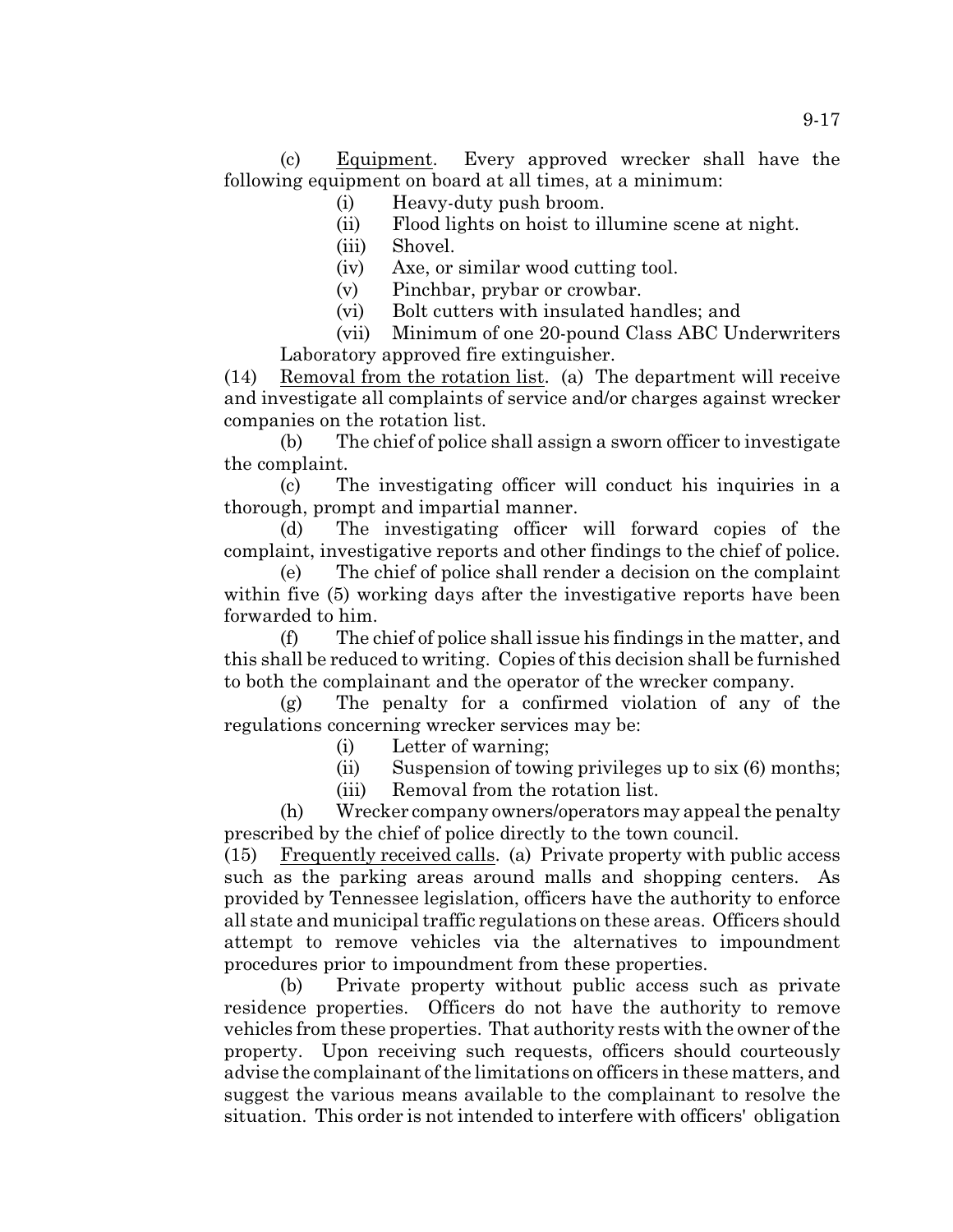(c) Equipment. Every approved wrecker shall have the following equipment on board at all times, at a minimum:

- (i) Heavy-duty push broom.
- (ii) Flood lights on hoist to illumine scene at night.
- (iii) Shovel.
- (iv) Axe, or similar wood cutting tool.
- (v) Pinchbar, prybar or crowbar.
- (vi) Bolt cutters with insulated handles; and

(vii) Minimum of one 20-pound Class ABC Underwriters Laboratory approved fire extinguisher.

(14) Removal from the rotation list. (a) The department will receive and investigate all complaints of service and/or charges against wrecker companies on the rotation list.

(b) The chief of police shall assign a sworn officer to investigate the complaint.

(c) The investigating officer will conduct his inquiries in a thorough, prompt and impartial manner.

(d) The investigating officer will forward copies of the complaint, investigative reports and other findings to the chief of police.

(e) The chief of police shall render a decision on the complaint within five (5) working days after the investigative reports have been forwarded to him.

(f) The chief of police shall issue his findings in the matter, and this shall be reduced to writing. Copies of this decision shall be furnished to both the complainant and the operator of the wrecker company.

(g) The penalty for a confirmed violation of any of the regulations concerning wrecker services may be:

(i) Letter of warning;

(ii) Suspension of towing privileges up to six (6) months;

(iii) Removal from the rotation list.

(h) Wrecker company owners/operators may appeal the penalty prescribed by the chief of police directly to the town council.

(15) Frequently received calls. (a) Private property with public access such as the parking areas around malls and shopping centers. As provided by Tennessee legislation, officers have the authority to enforce all state and municipal traffic regulations on these areas. Officers should attempt to remove vehicles via the alternatives to impoundment procedures prior to impoundment from these properties.

(b) Private property without public access such as private residence properties. Officers do not have the authority to remove vehicles from these properties. That authority rests with the owner of the property. Upon receiving such requests, officers should courteously advise the complainant of the limitations on officers in these matters, and suggest the various means available to the complainant to resolve the situation. This order is not intended to interfere with officers' obligation